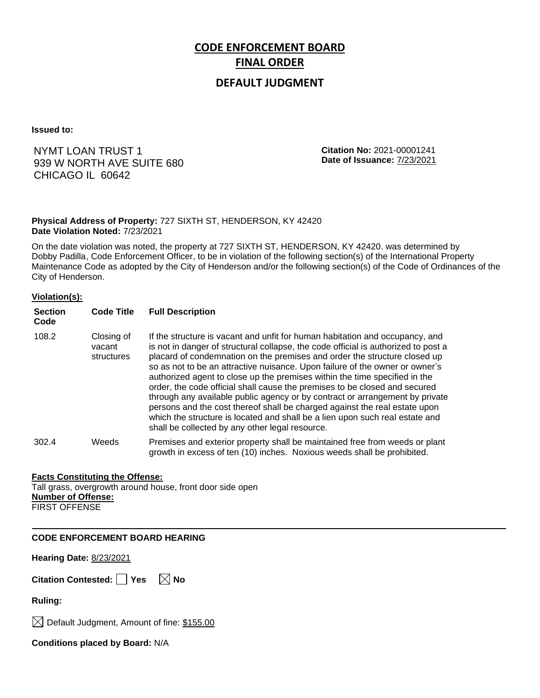# **CODE ENFORCEMENT BOARD FINAL ORDER**

### **DEFAULT JUDGMENT**

**Issued to:**

## NYMT LOAN TRUST 1 939 W NORTH AVE SUITE 680 CHICAGO IL 60642

**Citation No:** 2021-00001241 **Date of Issuance:** 7/23/2021

#### **Physical Address of Property:** 727 SIXTH ST, HENDERSON, KY 42420 **Date Violation Noted:** 7/23/2021

On the date violation was noted, the property at 727 SIXTH ST, HENDERSON, KY 42420. was determined by Dobby Padilla, Code Enforcement Officer, to be in violation of the following section(s) of the International Property Maintenance Code as adopted by the City of Henderson and/or the following section(s) of the Code of Ordinances of the City of Henderson.

#### **Violation(s):**

| <b>Section</b><br>Code | <b>Code Title</b>                  | <b>Full Description</b>                                                                                                                                                                                                                                                                                                                                                                                                                                                                                                                                                                                                                                                                                                                                                                      |
|------------------------|------------------------------------|----------------------------------------------------------------------------------------------------------------------------------------------------------------------------------------------------------------------------------------------------------------------------------------------------------------------------------------------------------------------------------------------------------------------------------------------------------------------------------------------------------------------------------------------------------------------------------------------------------------------------------------------------------------------------------------------------------------------------------------------------------------------------------------------|
| 108.2                  | Closing of<br>vacant<br>structures | If the structure is vacant and unfit for human habitation and occupancy, and<br>is not in danger of structural collapse, the code official is authorized to post a<br>placard of condemnation on the premises and order the structure closed up<br>so as not to be an attractive nuisance. Upon failure of the owner or owner's<br>authorized agent to close up the premises within the time specified in the<br>order, the code official shall cause the premises to be closed and secured<br>through any available public agency or by contract or arrangement by private<br>persons and the cost thereof shall be charged against the real estate upon<br>which the structure is located and shall be a lien upon such real estate and<br>shall be collected by any other legal resource. |
| 302.4                  | Weeds                              | Premises and exterior property shall be maintained free from weeds or plant<br>growth in excess of ten (10) inches. Noxious weeds shall be prohibited.                                                                                                                                                                                                                                                                                                                                                                                                                                                                                                                                                                                                                                       |

#### **Facts Constituting the Offense:**

Tall grass, overgrowth around house, front door side open **Number of Offense:** FIRST OFFENSE

#### **CODE ENFORCEMENT BOARD HEARING**

**Hearing Date:** 8/23/2021

**Citation Contested:** ■ Yes ⊠ No

**Ruling:**

 $\boxtimes$  Default Judgment, Amount of fine: \$155.00

**Conditions placed by Board:** N/A